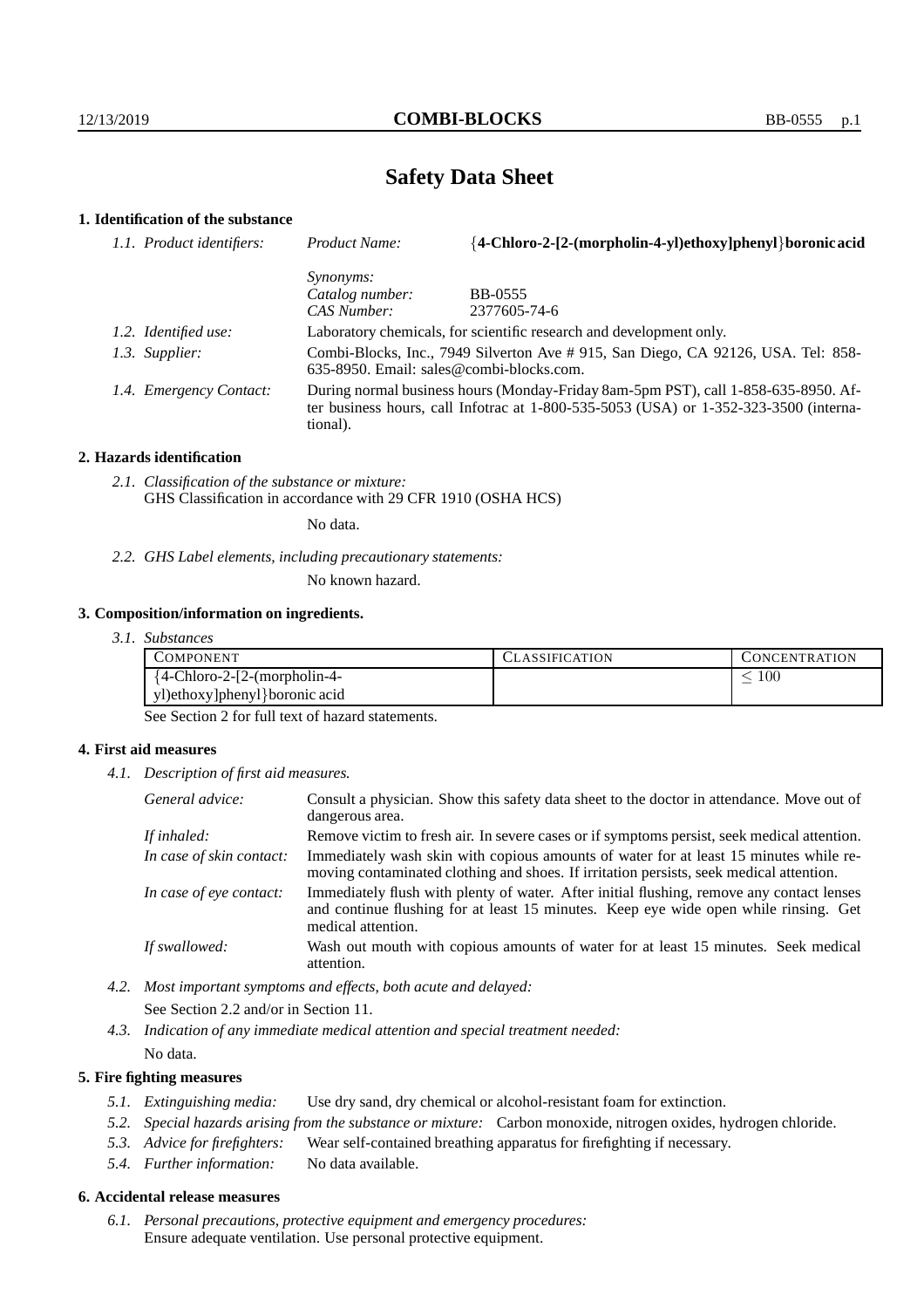# **Safety Data Sheet**

# **1. Identification of the substance**

| 1.1. Product identifiers: | Product Name:                                                                                                                                                                               | {4-Chloro-2-[2-(morpholin-4-yl)ethoxy]phenyl} boronic acid |  |
|---------------------------|---------------------------------------------------------------------------------------------------------------------------------------------------------------------------------------------|------------------------------------------------------------|--|
|                           | Synonyms:                                                                                                                                                                                   |                                                            |  |
|                           | Catalog number:                                                                                                                                                                             | <b>BB-0555</b>                                             |  |
|                           | CAS Number:                                                                                                                                                                                 | 2377605-74-6                                               |  |
| 1.2. Identified use:      | Laboratory chemicals, for scientific research and development only.                                                                                                                         |                                                            |  |
| 1.3. Supplier:            | Combi-Blocks, Inc., 7949 Silverton Ave # 915, San Diego, CA 92126, USA. Tel: 858-<br>$635-8950$ . Email: sales@combi-blocks.com.                                                            |                                                            |  |
| 1.4. Emergency Contact:   | During normal business hours (Monday-Friday 8am-5pm PST), call 1-858-635-8950. Af-<br>ter business hours, call Infotrac at $1-800-535-5053$ (USA) or $1-352-323-3500$ (interna-<br>tional). |                                                            |  |

#### **2. Hazards identification**

*2.1. Classification of the substance or mixture:* GHS Classification in accordance with 29 CFR 1910 (OSHA HCS)

No data.

*2.2. GHS Label elements, including precautionary statements:*

No known hazard.

#### **3. Composition/information on ingredients.**

*3.1. Substances*

| COMPONENT                      | . LASSIFICATION | CONCENTRATION |
|--------------------------------|-----------------|---------------|
| ${4-Chloro-2-[2-(morpholin-4-$ |                 | 100           |
| yl)ethoxy]phenyl}boronic acid  |                 |               |

See Section 2 for full text of hazard statements.

### **4. First aid measures**

*4.1. Description of first aid measures.*

| General advice:          | Consult a physician. Show this safety data sheet to the doctor in attendance. Move out of<br>dangerous area.                                                                                            |
|--------------------------|---------------------------------------------------------------------------------------------------------------------------------------------------------------------------------------------------------|
| If inhaled:              | Remove victim to fresh air. In severe cases or if symptoms persist, seek medical attention.                                                                                                             |
| In case of skin contact: | Immediately wash skin with copious amounts of water for at least 15 minutes while re-<br>moving contaminated clothing and shoes. If irritation persists, seek medical attention.                        |
| In case of eye contact:  | Immediately flush with plenty of water. After initial flushing, remove any contact lenses<br>and continue flushing for at least 15 minutes. Keep eye wide open while rinsing. Get<br>medical attention. |
| If swallowed:            | Wash out mouth with copious amounts of water for at least 15 minutes. Seek medical<br>attention.                                                                                                        |

- *4.2. Most important symptoms and effects, both acute and delayed:* See Section 2.2 and/or in Section 11.
- *4.3. Indication of any immediate medical attention and special treatment needed:* No data.

### **5. Fire fighting measures**

- *5.1. Extinguishing media:* Use dry sand, dry chemical or alcohol-resistant foam for extinction.
- *5.2. Special hazards arising from the substance or mixture:* Carbon monoxide, nitrogen oxides, hydrogen chloride.
- *5.3. Advice for firefighters:* Wear self-contained breathing apparatus for firefighting if necessary.
- *5.4. Further information:* No data available.

### **6. Accidental release measures**

*6.1. Personal precautions, protective equipment and emergency procedures:* Ensure adequate ventilation. Use personal protective equipment.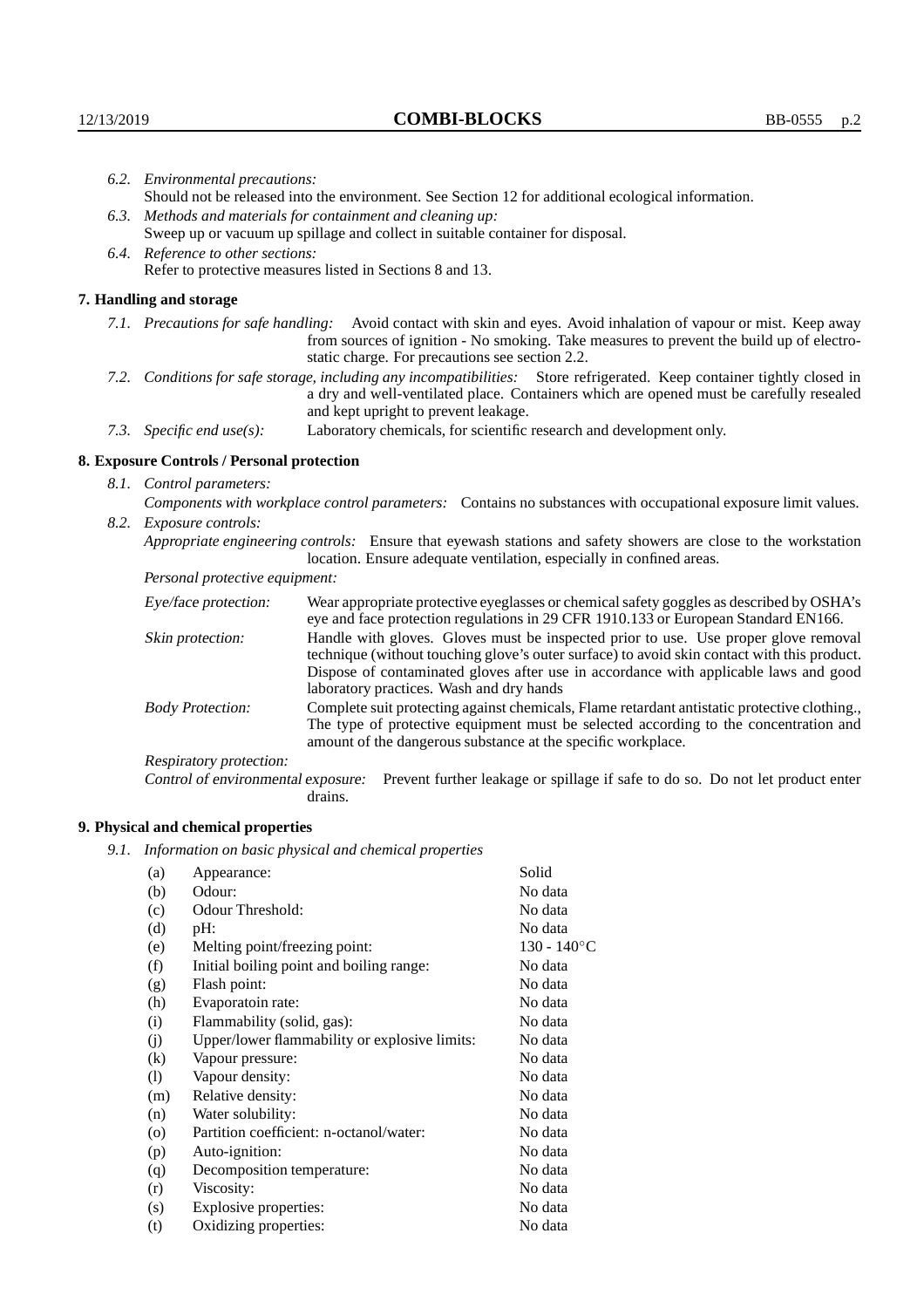| 6.2. Environmental precautions:                                                                                                                                                                                                                                    |                                                                                                                                                                                    |  |  |
|--------------------------------------------------------------------------------------------------------------------------------------------------------------------------------------------------------------------------------------------------------------------|------------------------------------------------------------------------------------------------------------------------------------------------------------------------------------|--|--|
| Should not be released into the environment. See Section 12 for additional ecological information.                                                                                                                                                                 |                                                                                                                                                                                    |  |  |
| 6.3. Methods and materials for containment and cleaning up:                                                                                                                                                                                                        |                                                                                                                                                                                    |  |  |
| Sweep up or vacuum up spillage and collect in suitable container for disposal.                                                                                                                                                                                     |                                                                                                                                                                                    |  |  |
| 6.4. Reference to other sections:                                                                                                                                                                                                                                  |                                                                                                                                                                                    |  |  |
|                                                                                                                                                                                                                                                                    | Refer to protective measures listed in Sections 8 and 13.                                                                                                                          |  |  |
| 7. Handling and storage                                                                                                                                                                                                                                            |                                                                                                                                                                                    |  |  |
| 7.1. Precautions for safe handling: Avoid contact with skin and eyes. Avoid inhalation of vapour or mist. Keep away<br>from sources of ignition - No smoking. Take measures to prevent the build up of electro-<br>static charge. For precautions see section 2.2. |                                                                                                                                                                                    |  |  |
| 7.2. Conditions for safe storage, including any incompatibilities: Store refrigerated. Keep container tightly closed in<br>a dry and well-ventilated place. Containers which are opened must be carefully resealed<br>and kept upright to prevent leakage.         |                                                                                                                                                                                    |  |  |
| Laboratory chemicals, for scientific research and development only.<br>7.3. Specific end use(s):                                                                                                                                                                   |                                                                                                                                                                                    |  |  |
| 8. Exposure Controls / Personal protection                                                                                                                                                                                                                         |                                                                                                                                                                                    |  |  |
| 8.1. Control parameters:                                                                                                                                                                                                                                           |                                                                                                                                                                                    |  |  |
| Components with workplace control parameters: Contains no substances with occupational exposure limit values.                                                                                                                                                      |                                                                                                                                                                                    |  |  |
| 8.2. Exposure controls:                                                                                                                                                                                                                                            |                                                                                                                                                                                    |  |  |
| Appropriate engineering controls: Ensure that eyewash stations and safety showers are close to the workstation<br>location. Ensure adequate ventilation, especially in confined areas.                                                                             |                                                                                                                                                                                    |  |  |
| Personal protective equipment:                                                                                                                                                                                                                                     |                                                                                                                                                                                    |  |  |
| Eye/face protection:                                                                                                                                                                                                                                               | Wear appropriate protective eyeglasses or chemical safety goggles as described by OSHA's<br>eye and face protection regulations in 29 CFR 1910.133 or European Standard EN166.     |  |  |
| Skin protection:                                                                                                                                                                                                                                                   | Handle with gloves. Gloves must be inspected prior to use. Use proper glove removal<br>technique (without touching glove's outer surface) to avoid skin contact with this product. |  |  |

| Eye/face protection:               | Wear appropriate protective eyeglasses or chemical safety goggles as described by OSHA's<br>eye and face protection regulations in 29 CFR 1910.133 or European Standard EN166.                                                                                                                                         |  |  |
|------------------------------------|------------------------------------------------------------------------------------------------------------------------------------------------------------------------------------------------------------------------------------------------------------------------------------------------------------------------|--|--|
| Skin protection:                   | Handle with gloves. Gloves must be inspected prior to use. Use proper glove removal<br>technique (without touching glove's outer surface) to avoid skin contact with this product.<br>Dispose of contaminated gloves after use in accordance with applicable laws and good<br>laboratory practices. Wash and dry hands |  |  |
| <b>Body Protection:</b>            | Complete suit protecting against chemicals, Flame retardant antistatic protective clothing.<br>The type of protective equipment must be selected according to the concentration and<br>amount of the dangerous substance at the specific workplace.                                                                    |  |  |
| Respiratory protection:            |                                                                                                                                                                                                                                                                                                                        |  |  |
| Control of environmental exposure: | Prevent further leakage or spillage if safe to do so. Do not let product enter<br>drains.                                                                                                                                                                                                                              |  |  |

# **9. Physical and chemical properties**

*9.1. Information on basic physical and chemical properties*

| (a)                        | Appearance:                                   | Solid          |
|----------------------------|-----------------------------------------------|----------------|
| (b)                        | Odour:                                        | No data        |
| (c)                        | Odour Threshold:                              | No data        |
| (d)                        | $pH$ :                                        | No data        |
| (e)                        | Melting point/freezing point:                 | $130 - 140$ °C |
| (f)                        | Initial boiling point and boiling range:      | No data        |
| (g)                        | Flash point:                                  | No data        |
| (h)                        | Evaporatoin rate:                             | No data        |
| (i)                        | Flammability (solid, gas):                    | No data        |
| (j)                        | Upper/lower flammability or explosive limits: | No data        |
| $\left( k\right)$          | Vapour pressure:                              | No data        |
| $\left( \mathrm{l}\right)$ | Vapour density:                               | No data        |
| (m)                        | Relative density:                             | No data        |
| (n)                        | Water solubility:                             | No data        |
| $\circ$                    | Partition coefficient: n-octanol/water:       | No data        |
| (p)                        | Auto-ignition:                                | No data        |
| (q)                        | Decomposition temperature:                    | No data        |
| (r)                        | Viscosity:                                    | No data        |
| (s)                        | Explosive properties:                         | No data        |
| (t)                        | Oxidizing properties:                         | No data        |
|                            |                                               |                |